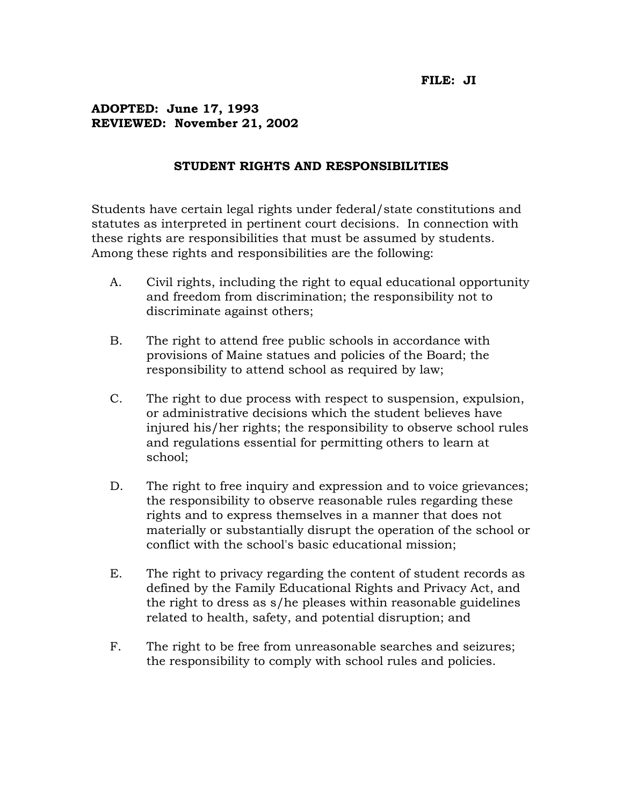## **ADOPTED: June 17, 1993 REVIEWED: November 21, 2002**

## **STUDENT RIGHTS AND RESPONSIBILITIES**

Students have certain legal rights under federal/state constitutions and statutes as interpreted in pertinent court decisions. In connection with these rights are responsibilities that must be assumed by students. Among these rights and responsibilities are the following:

- A. Civil rights, including the right to equal educational opportunity and freedom from discrimination; the responsibility not to discriminate against others;
- B. The right to attend free public schools in accordance with provisions of Maine statues and policies of the Board; the responsibility to attend school as required by law;
- C. The right to due process with respect to suspension, expulsion, or administrative decisions which the student believes have injured his/her rights; the responsibility to observe school rules and regulations essential for permitting others to learn at school;
- D. The right to free inquiry and expression and to voice grievances; the responsibility to observe reasonable rules regarding these rights and to express themselves in a manner that does not materially or substantially disrupt the operation of the school or conflict with the school's basic educational mission;
- E. The right to privacy regarding the content of student records as defined by the Family Educational Rights and Privacy Act, and the right to dress as s/he pleases within reasonable guidelines related to health, safety, and potential disruption; and
- F. The right to be free from unreasonable searches and seizures; the responsibility to comply with school rules and policies.